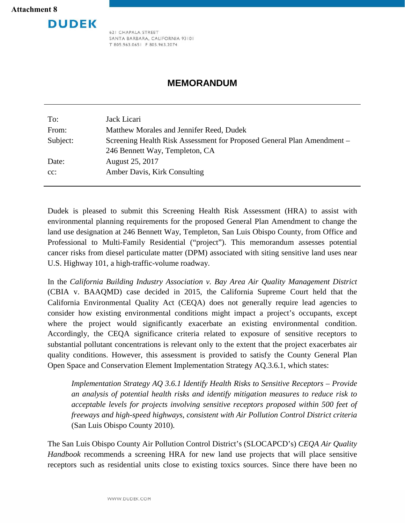# **DUDEK**

621 CHAPALA STREET SANTA BARBARA, CALIFORNIA 93101 T 805.963.0651 F 805.963.2074

## **MEMORANDUM**

| To:      | Jack Licari                                                            |
|----------|------------------------------------------------------------------------|
| From:    | Matthew Morales and Jennifer Reed, Dudek                               |
| Subject: | Screening Health Risk Assessment for Proposed General Plan Amendment – |
|          | 246 Bennett Way, Templeton, CA                                         |
| Date:    | August 25, 2017                                                        |
| $cc$ :   | Amber Davis, Kirk Consulting                                           |
|          |                                                                        |

Dudek is pleased to submit this Screening Health Risk Assessment (HRA) to assist with environmental planning requirements for the proposed General Plan Amendment to change the land use designation at 246 Bennett Way, Templeton, San Luis Obispo County, from Office and Professional to Multi-Family Residential ("project"). This memorandum assesses potential cancer risks from diesel particulate matter (DPM) associated with siting sensitive land uses near U.S. Highway 101, a high-traffic-volume roadway.

In the *California Building Industry Association v. Bay Area Air Quality Management District* (CBIA v. BAAQMD) case decided in 2015, the California Supreme Court held that the California Environmental Quality Act (CEQA) does not generally require lead agencies to consider how existing environmental conditions might impact a project's occupants, except where the project would significantly exacerbate an existing environmental condition. Accordingly, the CEQA significance criteria related to exposure of sensitive receptors to substantial pollutant concentrations is relevant only to the extent that the project exacerbates air quality conditions. However, this assessment is provided to satisfy the County General Plan Open Space and Conservation Element Implementation Strategy AQ.3.6.1, which states:

*Implementation Strategy AQ 3.6.1 Identify Health Risks to Sensitive Receptors – Provide an analysis of potential health risks and identify mitigation measures to reduce risk to acceptable levels for projects involving sensitive receptors proposed within 500 feet of freeways and high-speed highways, consistent with Air Pollution Control District criteria*  (San Luis Obispo County 2010).

The San Luis Obispo County Air Pollution Control District's (SLOCAPCD's) *CEQA Air Quality Handbook* recommends a screening HRA for new land use projects that will place sensitive receptors such as residential units close to existing toxics sources. Since there have been no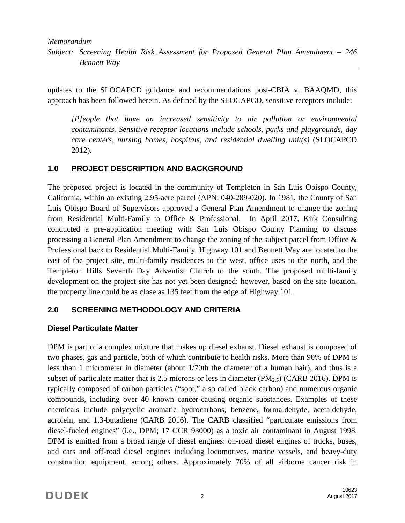updates to the SLOCAPCD guidance and recommendations post-CBIA v. BAAQMD, this approach has been followed herein. As defined by the SLOCAPCD, sensitive receptors include:

*[P]eople that have an increased sensitivity to air pollution or environmental contaminants. Sensitive receptor locations include schools, parks and playgrounds, day care centers, nursing homes, hospitals, and residential dwelling unit(s)* (SLOCAPCD 2012)*.*

## **1.0 PROJECT DESCRIPTION AND BACKGROUND**

The proposed project is located in the community of Templeton in San Luis Obispo County, California, within an existing 2.95-acre parcel (APN: 040-289-020). In 1981, the County of San Luis Obispo Board of Supervisors approved a General Plan Amendment to change the zoning from Residential Multi-Family to Office & Professional. In April 2017, Kirk Consulting conducted a pre-application meeting with San Luis Obispo County Planning to discuss processing a General Plan Amendment to change the zoning of the subject parcel from Office & Professional back to Residential Multi-Family. Highway 101 and Bennett Way are located to the east of the project site, multi-family residences to the west, office uses to the north, and the Templeton Hills Seventh Day Adventist Church to the south. The proposed multi-family development on the project site has not yet been designed; however, based on the site location, the property line could be as close as 135 feet from the edge of Highway 101.

## **2.0 SCREENING METHODOLOGY AND CRITERIA**

## **Diesel Particulate Matter**

DPM is part of a complex mixture that makes up diesel exhaust. Diesel exhaust is composed of two phases, gas and particle, both of which contribute to health risks. More than 90% of DPM is less than 1 micrometer in diameter (about 1/70th the diameter of a human hair), and thus is a subset of particulate matter that is 2.5 microns or less in diameter  $(PM<sub>2.5</sub>)$  (CARB 2016). DPM is typically composed of carbon particles ("soot," also called black carbon) and numerous organic compounds, including over 40 known cancer-causing organic substances. Examples of these chemicals include polycyclic aromatic hydrocarbons, benzene, formaldehyde, acetaldehyde, acrolein, and 1,3-butadiene (CARB 2016). The CARB classified "particulate emissions from diesel-fueled engines" (i.e., DPM; 17 CCR 93000) as a toxic air contaminant in August 1998. DPM is emitted from a broad range of diesel engines: on-road diesel engines of trucks, buses, and cars and off-road diesel engines including locomotives, marine vessels, and heavy-duty construction equipment, among others. Approximately 70% of all airborne cancer risk in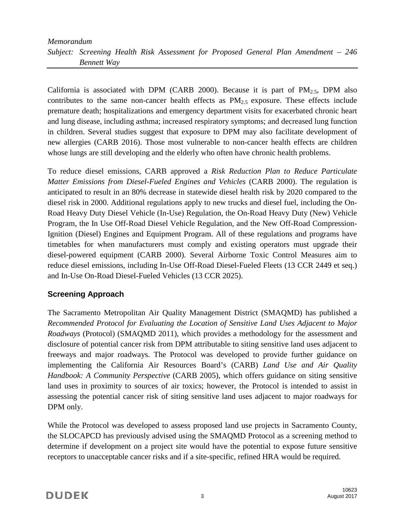## *Memorandum Subject: Screening Health Risk Assessment for Proposed General Plan Amendment – 246 Bennett Way*

California is associated with DPM (CARB 2000). Because it is part of  $PM_{2.5}$ , DPM also contributes to the same non-cancer health effects as  $PM_{2.5}$  exposure. These effects include premature death; hospitalizations and emergency department visits for exacerbated chronic heart and lung disease, including asthma; increased respiratory symptoms; and decreased lung function in children. Several studies suggest that exposure to DPM may also facilitate development of new allergies (CARB 2016). Those most vulnerable to non-cancer health effects are children whose lungs are still developing and the elderly who often have chronic health problems.

To reduce diesel emissions, CARB approved a *Risk Reduction Plan to Reduce Particulate Matter Emissions from Diesel-Fueled Engines and Vehicles* (CARB 2000). The regulation is anticipated to result in an 80% decrease in statewide diesel health risk by 2020 compared to the diesel risk in 2000. Additional regulations apply to new trucks and diesel fuel, including the On-Road Heavy Duty Diesel Vehicle (In-Use) Regulation, the On-Road Heavy Duty (New) Vehicle Program, the In Use Off-Road Diesel Vehicle Regulation, and the New Off-Road Compression-Ignition (Diesel) Engines and Equipment Program. All of these regulations and programs have timetables for when manufacturers must comply and existing operators must upgrade their diesel-powered equipment (CARB 2000). Several Airborne Toxic Control Measures aim to reduce diesel emissions, including In-Use Off-Road Diesel-Fueled Fleets (13 CCR 2449 et seq.) and In-Use On-Road Diesel-Fueled Vehicles (13 CCR 2025).

## **Screening Approach**

The Sacramento Metropolitan Air Quality Management District (SMAQMD) has published a *Recommended Protocol for Evaluating the Location of Sensitive Land Uses Adjacent to Major Roadways* (Protocol) (SMAQMD 2011), which provides a methodology for the assessment and disclosure of potential cancer risk from DPM attributable to siting sensitive land uses adjacent to freeways and major roadways. The Protocol was developed to provide further guidance on implementing the California Air Resources Board's (CARB) *Land Use and Air Quality Handbook: A Community Perspective* (CARB 2005), which offers guidance on siting sensitive land uses in proximity to sources of air toxics; however, the Protocol is intended to assist in assessing the potential cancer risk of siting sensitive land uses adjacent to major roadways for DPM only.

While the Protocol was developed to assess proposed land use projects in Sacramento County, the SLOCAPCD has previously advised using the SMAQMD Protocol as a screening method to determine if development on a project site would have the potential to expose future sensitive receptors to unacceptable cancer risks and if a site-specific, refined HRA would be required.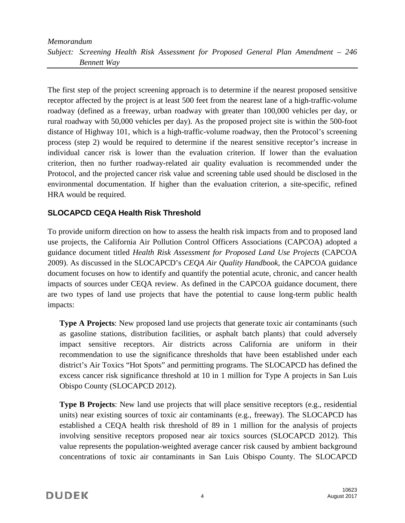## *Memorandum Subject: Screening Health Risk Assessment for Proposed General Plan Amendment – 246 Bennett Way*

The first step of the project screening approach is to determine if the nearest proposed sensitive receptor affected by the project is at least 500 feet from the nearest lane of a high-traffic-volume roadway (defined as a freeway, urban roadway with greater than 100,000 vehicles per day, or rural roadway with 50,000 vehicles per day). As the proposed project site is within the 500-foot distance of Highway 101, which is a high-traffic-volume roadway, then the Protocol's screening process (step 2) would be required to determine if the nearest sensitive receptor's increase in individual cancer risk is lower than the evaluation criterion. If lower than the evaluation criterion, then no further roadway-related air quality evaluation is recommended under the Protocol, and the projected cancer risk value and screening table used should be disclosed in the environmental documentation. If higher than the evaluation criterion, a site-specific, refined HRA would be required.

## **SLOCAPCD CEQA Health Risk Threshold**

To provide uniform direction on how to assess the health risk impacts from and to proposed land use projects, the California Air Pollution Control Officers Associations (CAPCOA) adopted a guidance document titled *Health Risk Assessment for Proposed Land Use Projects* (CAPCOA 2009). As discussed in the SLOCAPCD's *CEQA Air Quality Handbook,* the CAPCOA guidance document focuses on how to identify and quantify the potential acute, chronic, and cancer health impacts of sources under CEQA review. As defined in the CAPCOA guidance document, there are two types of land use projects that have the potential to cause long-term public health impacts:

**Type A Projects:** New proposed land use projects that generate toxic air contaminants (such as gasoline stations, distribution facilities, or asphalt batch plants) that could adversely impact sensitive receptors. Air districts across California are uniform in their recommendation to use the significance thresholds that have been established under each district's Air Toxics "Hot Spots" and permitting programs. The SLOCAPCD has defined the excess cancer risk significance threshold at 10 in 1 million for Type A projects in San Luis Obispo County (SLOCAPCD 2012).

**Type B Projects:** New land use projects that will place sensitive receptors (e.g., residential units) near existing sources of toxic air contaminants (e.g., freeway). The SLOCAPCD has established a CEQA health risk threshold of 89 in 1 million for the analysis of projects involving sensitive receptors proposed near air toxics sources (SLOCAPCD 2012). This value represents the population-weighted average cancer risk caused by ambient background concentrations of toxic air contaminants in San Luis Obispo County. The SLOCAPCD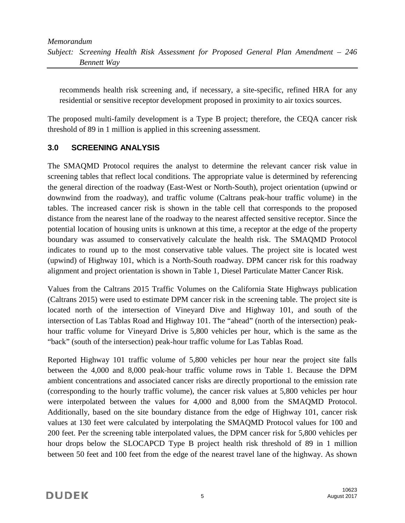recommends health risk screening and, if necessary, a site-specific, refined HRA for any residential or sensitive receptor development proposed in proximity to air toxics sources.

The proposed multi-family development is a Type B project; therefore, the CEQA cancer risk threshold of 89 in 1 million is applied in this screening assessment.

## **3.0 SCREENING ANALYSIS**

The SMAQMD Protocol requires the analyst to determine the relevant cancer risk value in screening tables that reflect local conditions. The appropriate value is determined by referencing the general direction of the roadway (East-West or North-South), project orientation (upwind or downwind from the roadway), and traffic volume (Caltrans peak-hour traffic volume) in the tables. The increased cancer risk is shown in the table cell that corresponds to the proposed distance from the nearest lane of the roadway to the nearest affected sensitive receptor. Since the potential location of housing units is unknown at this time, a receptor at the edge of the property boundary was assumed to conservatively calculate the health risk. The SMAQMD Protocol indicates to round up to the most conservative table values. The project site is located west (upwind) of Highway 101, which is a North-South roadway. DPM cancer risk for this roadway alignment and project orientation is shown in Table 1, Diesel Particulate Matter Cancer Risk.

Values from the Caltrans 2015 Traffic Volumes on the California State Highways publication (Caltrans 2015) were used to estimate DPM cancer risk in the screening table. The project site is located north of the intersection of Vineyard Dive and Highway 101, and south of the intersection of Las Tablas Road and Highway 101. The "ahead" (north of the intersection) peakhour traffic volume for Vineyard Drive is 5,800 vehicles per hour, which is the same as the "back" (south of the intersection) peak-hour traffic volume for Las Tablas Road.

Reported Highway 101 traffic volume of 5,800 vehicles per hour near the project site falls between the 4,000 and 8,000 peak-hour traffic volume rows in Table 1. Because the DPM ambient concentrations and associated cancer risks are directly proportional to the emission rate (corresponding to the hourly traffic volume), the cancer risk values at 5,800 vehicles per hour were interpolated between the values for 4,000 and 8,000 from the SMAQMD Protocol. Additionally, based on the site boundary distance from the edge of Highway 101, cancer risk values at 130 feet were calculated by interpolating the SMAQMD Protocol values for 100 and 200 feet. Per the screening table interpolated values, the DPM cancer risk for 5,800 vehicles per hour drops below the SLOCAPCD Type B project health risk threshold of 89 in 1 million between 50 feet and 100 feet from the edge of the nearest travel lane of the highway. As shown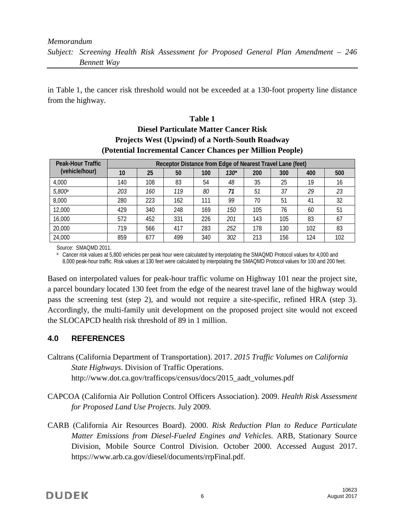#### *Memorandum Subject: Screening Health Risk Assessment for Proposed General Plan Amendment – 246 Bennett Way*

in Table 1, the cancer risk threshold would not be exceeded at a 130-foot property line distance from the highway.

## **Table 1 Diesel Particulate Matter Cancer Risk Projects West (Upwind) of a North-South Roadway (Potential Incremental Cancer Chances per Million People)**

| Peak-Hour Traffic<br>(vehicle/hour) | Receptor Distance from Edge of Nearest Travel Lane (feet) |     |     |     |        |     |     |     |     |  |
|-------------------------------------|-----------------------------------------------------------|-----|-----|-----|--------|-----|-----|-----|-----|--|
|                                     | 10                                                        | 25  | 50  | 100 | $130*$ | 200 | 300 | 400 | 500 |  |
| 4,000                               | 140                                                       | 108 | 83  | 54  | 48     | 35  | 25  | 19  | 16  |  |
| 5,800 <sup>a</sup>                  | 203                                                       | 160 | 119 | 80  | 71     | 51  | 37  | 29  | 23  |  |
| 8,000                               | 280                                                       | 223 | 162 | 111 | 99     | 70  | 51  | 41  | 32  |  |
| 12,000                              | 429                                                       | 340 | 248 | 169 | 150    | 105 | 76  | 60  | 51  |  |
| 16,000                              | 572                                                       | 452 | 331 | 226 | 201    | 143 | 105 | 83  | 67  |  |
| 20,000                              | 719                                                       | 566 | 417 | 283 | 252    | 178 | 130 | 102 | 83  |  |
| 24,000                              | 859                                                       | 677 | 499 | 340 | 302    | 213 | 156 | 124 | 102 |  |

Source: SMAQMD 2011.<br><sup>a</sup> Cancer risk values at 5,800 vehicles per peak hour were calculated by interpolating the SMAQMD Protocol values for 4,000 and 8,000 peak-hour traffic. Risk values at 130 feet were calculated by interpolating the SMAQMD Protocol values for 100 and 200 feet.

Based on interpolated values for peak-hour traffic volume on Highway 101 near the project site, a parcel boundary located 130 feet from the edge of the nearest travel lane of the highway would pass the screening test (step 2), and would not require a site-specific, refined HRA (step 3). Accordingly, the multi-family unit development on the proposed project site would not exceed the SLOCAPCD health risk threshold of 89 in 1 million.

## **4.0 REFERENCES**

- Caltrans (California Department of Transportation). 2017. *2015 Traffic Volumes on California State Highways*. Division of Traffic Operations. http://www.dot.ca.gov/trafficops/census/docs/2015\_aadt\_volumes.pdf
- CAPCOA (California Air Pollution Control Officers Association). 2009. *Health Risk Assessment for Proposed Land Use Projects*. July 2009.
- CARB (California Air Resources Board). 2000. *Risk Reduction Plan to Reduce Particulate Matter Emissions from Diesel-Fueled Engines and Vehicles.* ARB, Stationary Source Division, Mobile Source Control Division. October 2000. Accessed August 2017. https://www.arb.ca.gov/diesel/documents/rrpFinal.pdf.